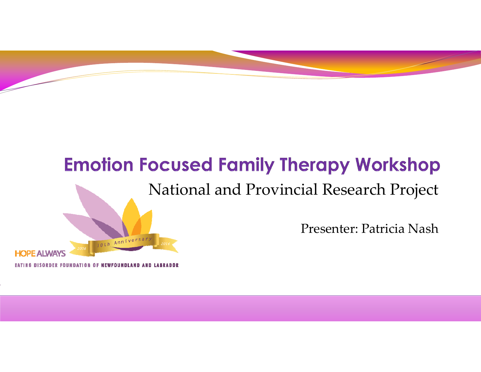#### **Emotion Focused Family Therapy Workshop**

#### National and Provincial Research Project



DISORDER FOUNDATION OF NEWFOUNDLAND AND LABRA

Oth Anniversa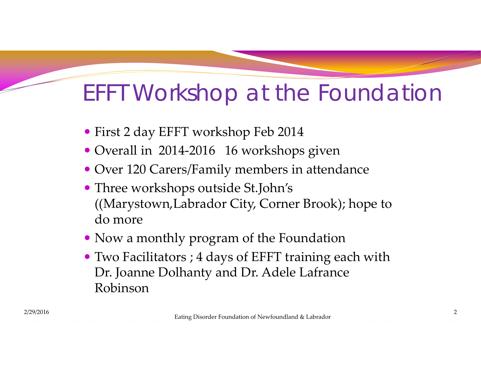#### EFFT Workshop at the Foundation

- First <sup>2</sup> day EFFT workshop Feb 2014
- Overall in 2014-2016 16 workshops given
- Over 120 Carers/Family members in attendance
- Three workshops outside St.John's ((Marystown,Labrador City, Corner Brook); hope to do more
- Now <sup>a</sup> monthly program of the Foundation
- Two Facilitators ; <sup>4</sup> days of EFFT training each with Dr. Joanne Dolhanty and Dr. Adele Lafrance Robinson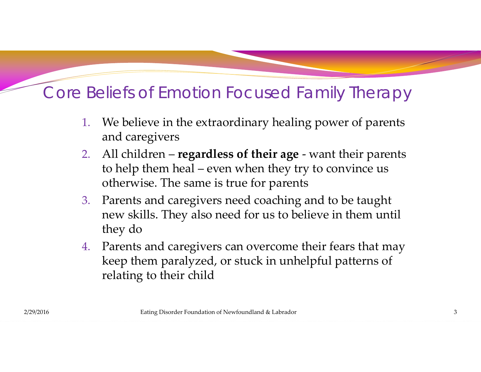#### Core Beliefs of Emotion Focused Family Therapy

- 1. We believe in the extraordinary healing power of parents and caregivers
- 2. All children – **regardless of their age** ‐ want their parents to help them heal – even when they try to convince us otherwise. The same is true for parents
- 3. Parents and caregivers need coaching and to be taught new skills. They also need for us to believe in them until they do
- 4. Parents and caregivers can overcome their fears that may keep them paralyzed, or stuck in unhelpful patterns of relating to their child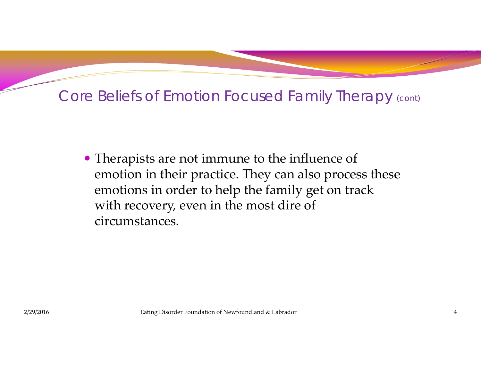#### Core Beliefs of Emotion Focused Family Therapy (cont)

 Therapists are not immune to the influence of emotion in their practice. They can also process these emotions in order to help the family ge<sup>t</sup> on track with recovery, even in the most dire of circumstances.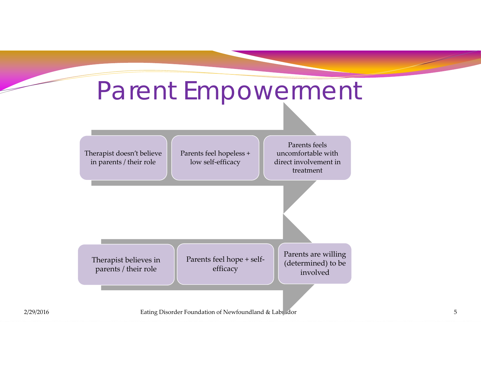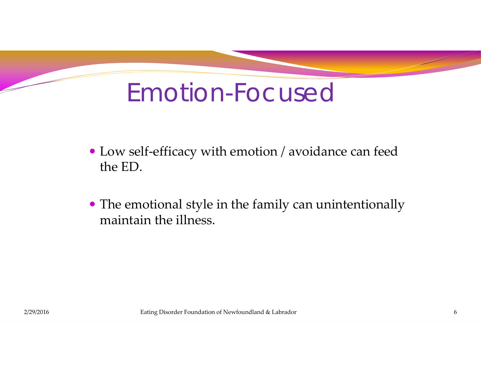# Emotion-Focused

- Low self‐efficacy with emotion / avoidance can feed the ED.
- The emotional style in the family can unintentionally maintain the illness.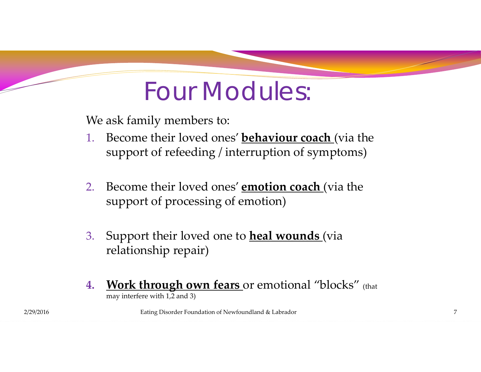## Four Modules:

We ask family members to:

- 1. Become their loved ones' **behaviour coach** (via the suppor<sup>t</sup> of refeeding / interruption of symptoms)
- 2. Become their loved ones' **emotion coach** (via the suppor<sup>t</sup> of processing of emotion)
- 3. Support their loved one to **heal wounds** (via relationship repair)
- **4. Work through own fears** or emotional "blocks" (that may interfere with 1,2 and 3)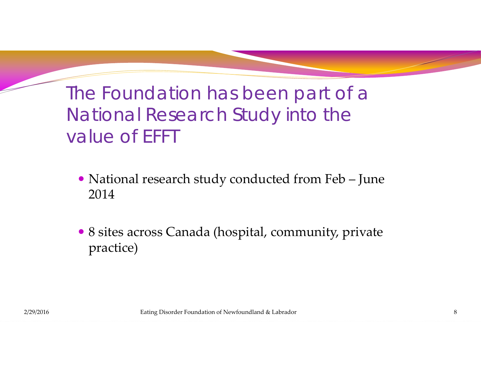#### The Foundation has been part of a National Research Study into the value of EFFT

- National research study conducted from Feb June 2014
- <sup>8</sup> sites across Canada (hospital, community, private practice)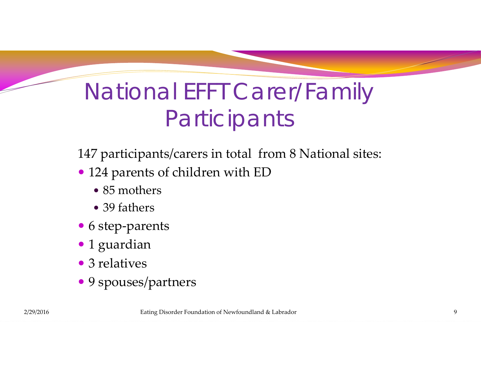## National EFFT Carer/Family **Participants**

147 participants/carers in total from <sup>8</sup> National sites:

- 124 parents of children with ED
	- 85 mothers
	- 39 fathers
- 6 step-parents
- 1 guardian
- 3 relatives
- 9 spouses/partners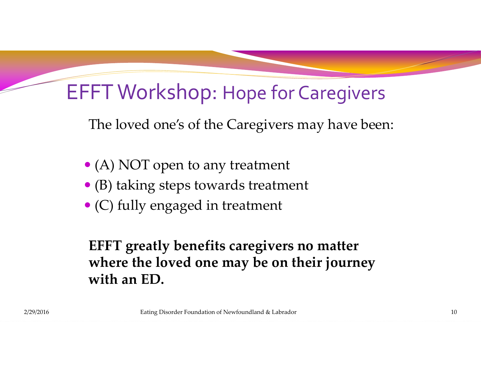#### EFFT Workshop: Hope for Caregivers

The loved one's of the Caregivers may have been:

- (A) NOT open to any treatment
- (B) taking steps towards treatment
- (C) fully engaged in treatment

**EFFT greatly benefits caregivers no matter where the loved one may be on their journey with an ED.**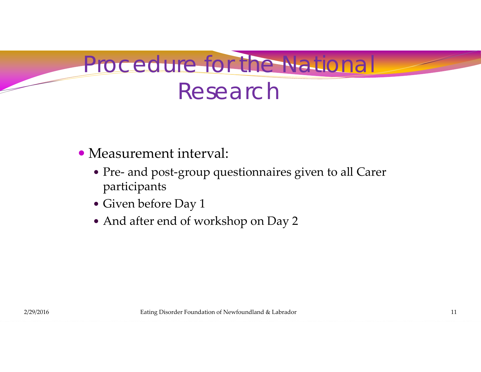

#### Measurement interval:

- Pre‐ and post‐group questionnaires given to all Carer participants
- Given before Day 1
- And after end of workshop on Day 2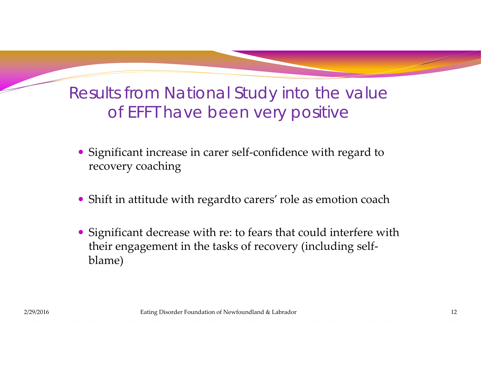#### Results from National Study into the value of EFFT have been very positive

- Significant increase in carer self-confidence with regard to recovery coaching
- Shift in attitude with regardto carers' role as emotion coach
- Significant decrease with re: to fears that could interfere with their engagemen<sup>t</sup> in the tasks of recovery (including self‐ blame)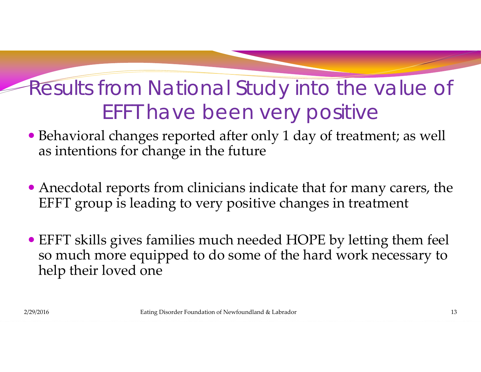#### Results from National Study into the value of EFFT have been very positive

- Behavioral changes reported after only <sup>1</sup> day of treatment; as well as intentions for change in the future
- Anecdotal reports from clinicians indicate that for many carers, the EFFT group is leading to very positive changes in treatment
- EFFT skills gives families much needed HOPE by letting them feel so much more equipped to do some of the hard work necessary to help their loved one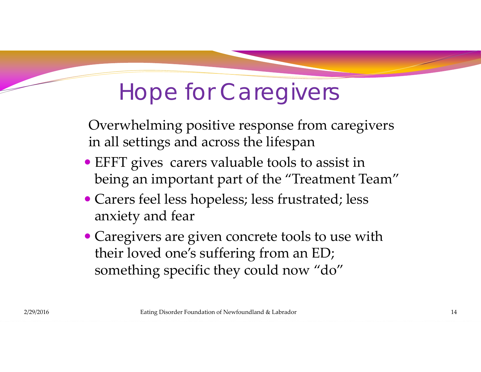## Hope for Caregivers

Overwhelming positive response from caregivers in all settings and across the lifespan

- EFFT gives carers valuable tools to assist in being an important par<sup>t</sup> of the "Treatment Team"
- Carers feel less hopeless; less frustrated; less anxiety and fear
- Caregivers are given concrete tools to use with their loved one's suffering from an ED; something specific they could now "do"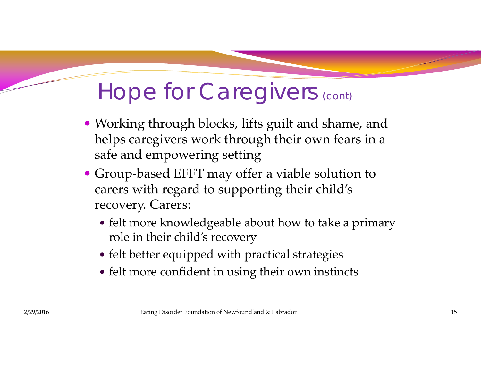## Hope for Caregivers (cont)

- Working through blocks, lifts guilt and shame, and helps caregivers work through their own fears in <sup>a</sup> safe and empowering setting
- Group‐based EFFT may offer <sup>a</sup> viable solution to carers with regard to supporting their child's recovery. Carers:
	- felt more knowledgeable about how to take <sup>a</sup> primary role in their child's recovery
	- felt better equipped with practical strategies
	- felt more confident in using their own instincts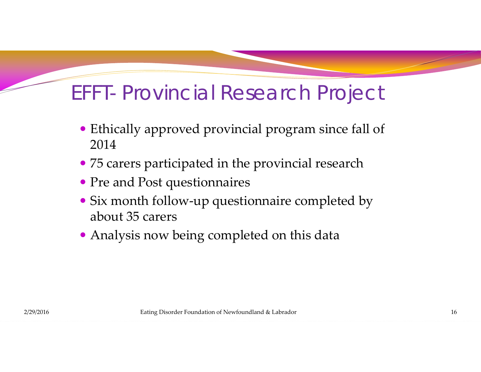#### EFFT- Provincial Research Project

- Ethically approved provincial program since fall of 2014
- <sup>75</sup> carers participated in the provincial research
- Pre and Post questionnaires
- Six month follow‐up questionnaire completed by about 35 carers
- Analysis now being completed on this data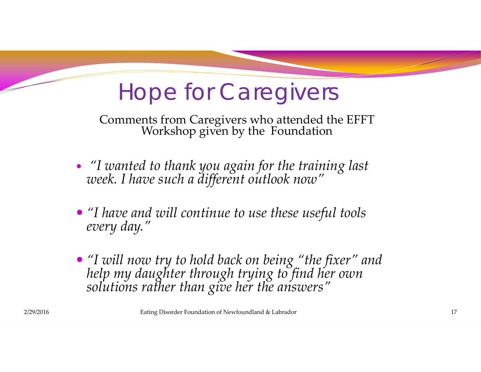## Hope for Caregivers

Comments from Caregivers who attended the EFFT Workshop <sup>g</sup>iven by the Foundation

- "I wanted to thank you again for the training last<br>week. I have such a different outlook now"
- *"I have and will continue to use these useful tools every day."*
- "I will now try to hold back on being "the fixer" and help my daughter through trying to find her own<br>solutions rather than give her the answers"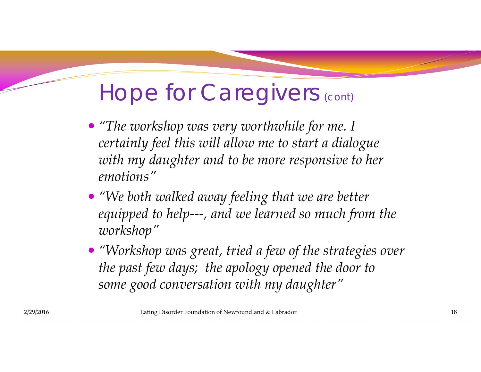### Hope for Caregivers (cont)

- *"The workshop was very worthwhile for me. I certainly feel this will allow me to start <sup>a</sup> dialogue with my daughter and to be more responsive to her emotions"*
- *"We both walked away feeling that we are better equipped to help‐‐‐, and we learned so much from the workshop"*
- *"Workshop was great, tried <sup>a</sup> few of the strategies over the pas<sup>t</sup> few days; the apology opened the door to some good conversation with my daughter"*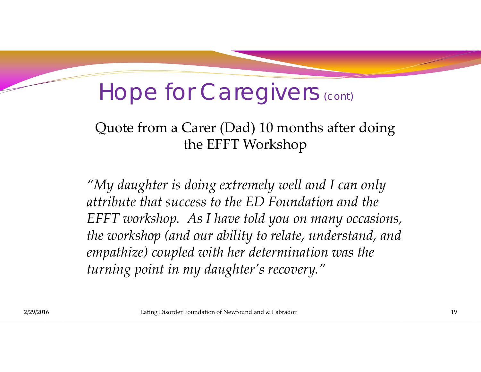### Hope for Caregivers (cont)

#### Quote from <sup>a</sup> Carer (Dad) 10 months after doing the EFFT Workshop

*"My daughter is doing extremely well and I can only attribute that success to the ED Foundation and the EFFT workshop. As I have told you on many occasions, the workshop (and our ability to relate, understand, and empathize) coupled with her determination was the turning point in my daughter's recovery."*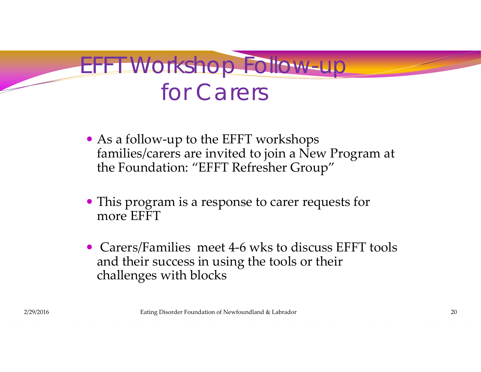### EFFT Workshop Follow-u for Carers

- As a follow-up to the EFFT workshops families/carers are invited to join <sup>a</sup> New Program at the Foundation: "EFFT Refresher Group"
- This program is <sup>a</sup> response to carer requests for more EFFT
- Carers/Families meet 4-6 wks to discuss EFFT tools and their success in using the tools or their challenges with blocks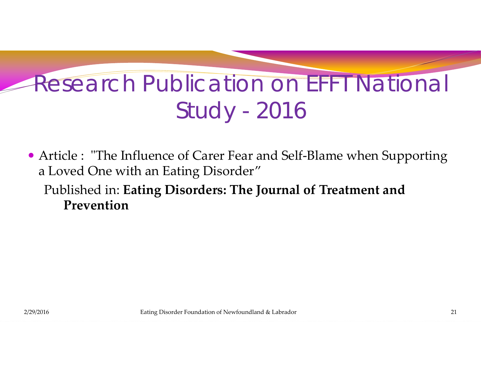# Research Publication on EFFT National Study - 2016

- Article : "The Influence of Carer Fear and Self-Blame when Supporting <sup>a</sup> Loved One with an Eating Disorder"
	- Published in: **Eating Disorders: The Journal of Treatment and Prevention**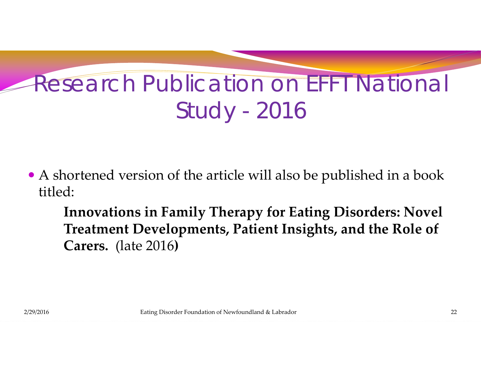# Research Publication on EFFT National Study - 2016

 A shortened version of the article will also be published in <sup>a</sup> book titled:

**Innovations in Family Therapy for Eating Disorders: Novel Treatment Developments, Patient Insights, and the Role of Carers.** (late 2016**)**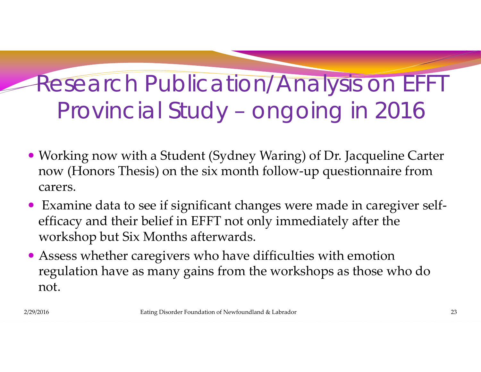# Research Publication/Analysis on EFFT Provincial Study – ongoing in 2016

- Working now with <sup>a</sup> Student (Sydney Waring) of Dr. Jacqueline Carter now (Honors Thesis) on the six month follow‐up questionnaire from carers.
- Examine data to see if significant changes were made in caregiver selfefficacy and their belief in EFFT not only immediately after the workshop but Six Months afterwards.
- Assess whether caregivers who have difficulties with emotion regulation have as many gains from the workshops as those who do not.